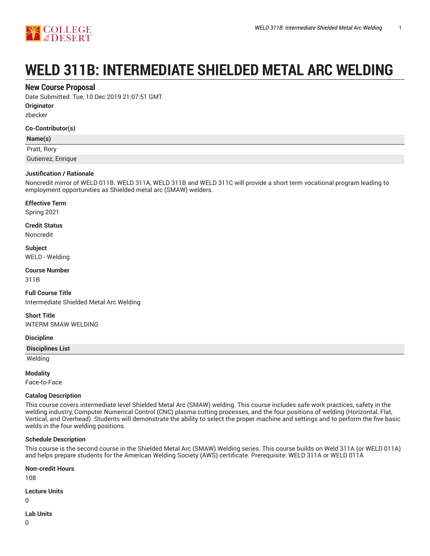

# **WELD 311B: INTERMEDIATE SHIELDED METAL ARC WELDING**

## **New Course Proposal**

Date Submitted: Tue, 10 Dec 2019 21:07:51 GMT

**Originator**

zbecker

#### **Co-Contributor(s)**

#### **Name(s)**

Pratt, Rory

Gutierrez, Enrique

#### **Justification / Rationale**

Noncredit mirror of WELD 011B. WELD 311A, WELD 311B and WELD 311C will provide a short term vocational program leading to employment opportunities as Shielded metal arc (SMAW) welders.

#### **Effective Term**

Spring 2021

**Credit Status**

Noncredit

**Subject** WELD - Welding

**Course Number** 311B

**Full Course Title** Intermediate Shielded Metal Arc Welding

**Short Title** INTERM SMAW WELDING

#### **Discipline**

**Disciplines List**

Welding

#### **Modality**

Face-to-Face

#### **Catalog Description**

This course covers intermediate level Shielded Metal Arc (SMAW) welding. This course includes safe work practices, safety in the welding industry, Computer Numerical Control (CNC) plasma cutting processes, and the four positions of welding (Horizontal, Flat, Vertical, and Overhead). Students will demonstrate the ability to select the proper machine and settings and to perform the five basic welds in the four welding positions.

#### **Schedule Description**

This course is the second course in the Shielded Metal Arc (SMAW) Welding series. This course builds on Weld 311A (or WELD 011A) and helps prepare students for the American Welding Society (AWS) certificate. Prerequisite: WELD 311A or WELD 011A

**Non-credit Hours**

108

**Lecture Units**

0

**Lab Units**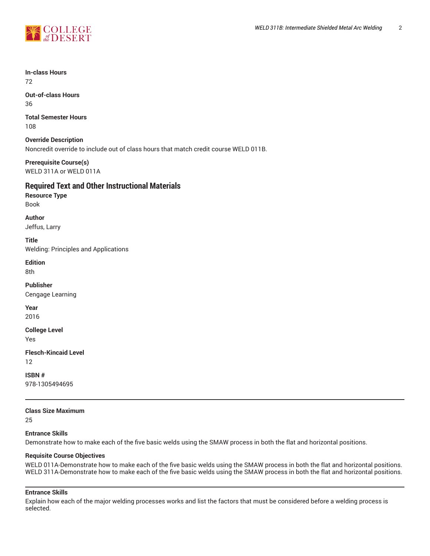

**In-class Hours** 72

**Out-of-class Hours** 36

**Total Semester Hours** 108

**Override Description** Noncredit override to include out of class hours that match credit course WELD 011B.

**Prerequisite Course(s)** WELD 311A or WELD 011A

# **Required Text and Other Instructional Materials**

**Resource Type** Book

**Author** Jeffus, Larry

**Title** Welding: Principles and Applications

**Edition** 8th

**Publisher** Cengage Learning

**Year** 2016

**College Level**

Yes

**Flesch-Kincaid Level** 12

**ISBN #** 978-1305494695

**Class Size Maximum**

25

# **Entrance Skills**

Demonstrate how to make each of the five basic welds using the SMAW process in both the flat and horizontal positions.

#### **Requisite Course Objectives**

WELD 011A-Demonstrate how to make each of the five basic welds using the SMAW process in both the flat and horizontal positions. WELD 311A-Demonstrate how to make each of the five basic welds using the SMAW process in both the flat and horizontal positions.

# **Entrance Skills**

Explain how each of the major welding processes works and list the factors that must be considered before a welding process is selected.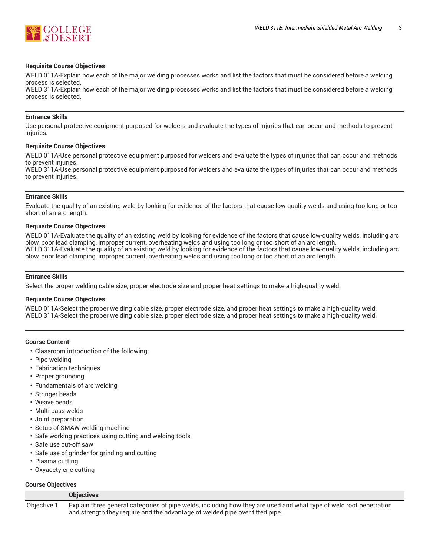

#### **Requisite Course Objectives**

WELD 011A-Explain how each of the major welding processes works and list the factors that must be considered before a welding process is selected.

WELD 311A-Explain how each of the major welding processes works and list the factors that must be considered before a welding process is selected.

#### **Entrance Skills**

Use personal protective equipment purposed for welders and evaluate the types of injuries that can occur and methods to prevent injuries.

#### **Requisite Course Objectives**

WELD 011A-Use personal protective equipment purposed for welders and evaluate the types of injuries that can occur and methods to prevent injuries.

WELD 311A-Use personal protective equipment purposed for welders and evaluate the types of injuries that can occur and methods to prevent injuries.

#### **Entrance Skills**

Evaluate the quality of an existing weld by looking for evidence of the factors that cause low-quality welds and using too long or too short of an arc length.

#### **Requisite Course Objectives**

WELD 011A-Evaluate the quality of an existing weld by looking for evidence of the factors that cause low-quality welds, including arc blow, poor lead clamping, improper current, overheating welds and using too long or too short of an arc length. WELD 311A-Evaluate the quality of an existing weld by looking for evidence of the factors that cause low-quality welds, including arc blow, poor lead clamping, improper current, overheating welds and using too long or too short of an arc length.

#### **Entrance Skills**

Select the proper welding cable size, proper electrode size and proper heat settings to make a high-quality weld.

#### **Requisite Course Objectives**

WELD 011A-Select the proper welding cable size, proper electrode size, and proper heat settings to make a high-quality weld. WELD 311A-Select the proper welding cable size, proper electrode size, and proper heat settings to make a high-quality weld.

#### **Course Content**

- Classroom introduction of the following:
- Pipe welding
- Fabrication techniques
- Proper grounding
- Fundamentals of arc welding
- Stringer beads
- Weave beads
- Multi pass welds
- Joint preparation
- Setup of SMAW welding machine

**Objectives**

- Safe working practices using cutting and welding tools
- Safe use cut-off saw
- Safe use of grinder for grinding and cutting
- Plasma cutting
- Oxyacetylene cutting

#### **Course Objectives**

|             | <b>ONICOUVLY</b>                                                                                                   |
|-------------|--------------------------------------------------------------------------------------------------------------------|
| Objective 1 | Explain three general categories of pipe welds, including how they are used and what type of weld root penetration |
|             | and strength they require and the advantage of welded pipe over fitted pipe.                                       |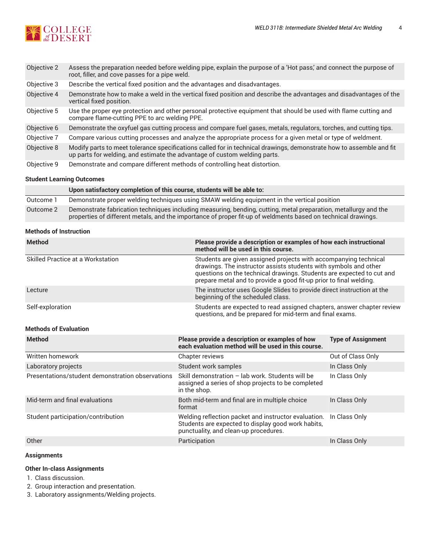

| Objective 2 | Assess the preparation needed before welding pipe, explain the purpose of a 'Hot pass', and connect the purpose of<br>root, filler, and cove passes for a pipe weld.                             |
|-------------|--------------------------------------------------------------------------------------------------------------------------------------------------------------------------------------------------|
| Objective 3 | Describe the vertical fixed position and the advantages and disadvantages.                                                                                                                       |
| Objective 4 | Demonstrate how to make a weld in the vertical fixed position and describe the advantages and disadvantages of the<br>vertical fixed position.                                                   |
| Objective 5 | Use the proper eye protection and other personal protective equipment that should be used with flame cutting and<br>compare flame-cutting PPE to arc welding PPE.                                |
| Objective 6 | Demonstrate the oxyfuel gas cutting process and compare fuel gases, metals, regulators, torches, and cutting tips.                                                                               |
| Objective 7 | Compare various cutting processes and analyze the appropriate process for a given metal or type of weldment.                                                                                     |
| Objective 8 | Modify parts to meet tolerance specifications called for in technical drawings, demonstrate how to assemble and fit<br>up parts for welding, and estimate the advantage of custom welding parts. |
| Objective 9 | Demonstrate and compare different methods of controlling heat distortion.                                                                                                                        |

#### **Student Learning Outcomes**

|           | Upon satisfactory completion of this course, students will be able to:                                                                                                                                                           |
|-----------|----------------------------------------------------------------------------------------------------------------------------------------------------------------------------------------------------------------------------------|
| Outcome 1 | Demonstrate proper welding techniques using SMAW welding equipment in the vertical position                                                                                                                                      |
| Outcome 2 | Demonstrate fabrication techniques including measuring, bending, cutting, metal preparation, metallurgy and the<br>properties of different metals, and the importance of proper fit-up of weldments based on technical drawings. |

#### **Methods of Instruction**

| <b>Method</b>                     | Please provide a description or examples of how each instructional<br>method will be used in this course.                                                                                                                                                                           |
|-----------------------------------|-------------------------------------------------------------------------------------------------------------------------------------------------------------------------------------------------------------------------------------------------------------------------------------|
| Skilled Practice at a Workstation | Students are given assigned projects with accompanying technical<br>drawings. The instructor assists students with symbols and other<br>questions on the technical drawings. Students are expected to cut and<br>prepare metal and to provide a good fit-up prior to final welding. |
| Lecture                           | The instructor uses Google Slides to provide direct instruction at the<br>beginning of the scheduled class.                                                                                                                                                                         |
| Self-exploration                  | Students are expected to read assigned chapters, answer chapter review<br>questions, and be prepared for mid-term and final exams.                                                                                                                                                  |

# **Methods of Evaluation**

| <b>Method</b>                                    | Please provide a description or examples of how<br>each evaluation method will be used in this course.                                              | <b>Type of Assignment</b> |
|--------------------------------------------------|-----------------------------------------------------------------------------------------------------------------------------------------------------|---------------------------|
| Written homework                                 | Chapter reviews                                                                                                                                     | Out of Class Only         |
| Laboratory projects                              | Student work samples                                                                                                                                | In Class Only             |
| Presentations/student demonstration observations | Skill demonstration - lab work. Students will be<br>assigned a series of shop projects to be completed<br>in the shop.                              | In Class Only             |
| Mid-term and final evaluations                   | Both mid-term and final are in multiple choice<br>format                                                                                            | In Class Only             |
| Student participation/contribution               | Welding reflection packet and instructor evaluation.<br>Students are expected to display good work habits,<br>punctuality, and clean-up procedures. | In Class Only             |
| Other                                            | Participation                                                                                                                                       | In Class Only             |

#### **Assignments**

#### **Other In-class Assignments**

1. Class discussion.

2. Group interaction and presentation.

3. Laboratory assignments/Welding projects.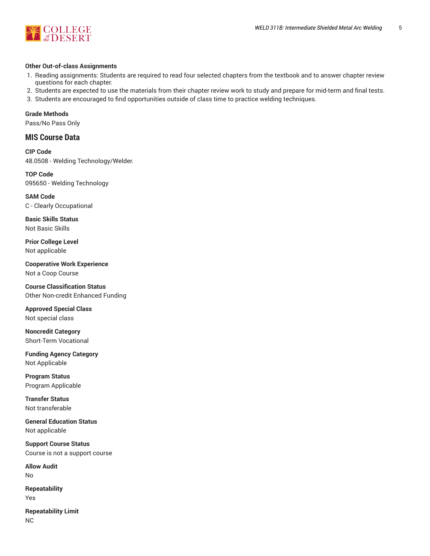

#### **Other Out-of-class Assignments**

- 1. Reading assignments: Students are required to read four selected chapters from the textbook and to answer chapter review questions for each chapter.
- 2. Students are expected to use the materials from their chapter review work to study and prepare for mid-term and final tests.
- 3. Students are encouraged to find opportunities outside of class time to practice welding techniques.

**Grade Methods**

Pass/No Pass Only

# **MIS Course Data**

**CIP Code** 48.0508 - Welding Technology/Welder.

**TOP Code** 095650 - Welding Technology

**SAM Code** C - Clearly Occupational

**Basic Skills Status** Not Basic Skills

**Prior College Level** Not applicable

**Cooperative Work Experience** Not a Coop Course

**Course Classification Status** Other Non-credit Enhanced Funding

**Approved Special Class** Not special class

**Noncredit Category** Short-Term Vocational

**Funding Agency Category** Not Applicable

**Program Status** Program Applicable

**Transfer Status** Not transferable

**General Education Status** Not applicable

**Support Course Status** Course is not a support course

**Allow Audit** No

**Repeatability** Yes

**Repeatability Limit** NC